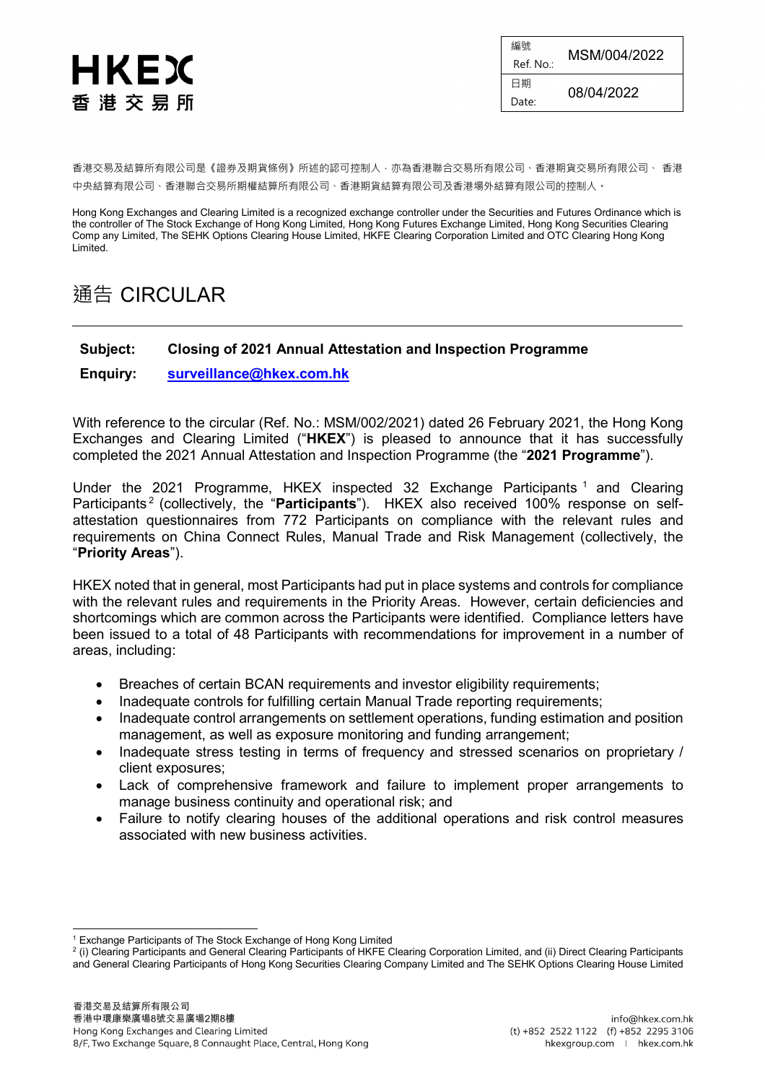

編號 **Ref. No.:** MSM/004/2022 日期  $D_{\text{date}:}$  08/04/2022

香港交易及結算所有限公司是《證券及期貨條例》所述的認可控制人,亦為香港聯合交易所有限公司、香港期貨交易所有限公司、 香港 中央結算有限公司、香港聯合交易所期權結算所有限公司、香港期貨結算有限公司及香港場外結算有限公司的控制人。

Hong Kong Exchanges and Clearing Limited is a recognized exchange controller under the Securities and Futures Ordinance which is the controller of The Stock Exchange of Hong Kong Limited, Hong Kong Futures Exchange Limited, Hong Kong Securities Clearing Comp any Limited, The SEHK Options Clearing House Limited, HKFE Clearing Corporation Limited and OTC Clearing Hong Kong Limited.

## 通告 CIRCULAR

## **Subject: Closing of 2021 Annual Attestation and Inspection Programme**

**Enquiry: [surveillance@hkex.com.hk](mailto:surveillance@hkex.com.hk)**

With reference to the circular (Ref. No.: MSM/002/2021) dated 26 February 2021, the Hong Kong Exchanges and Clearing Limited ("**HKEX**") is pleased to announce that it has successfully completed the 2021 Annual Attestation and Inspection Programme (the "**2021 Programme**").

Under the 202[1](#page-0-0) Programme, HKEX inspected 32 Exchange Participants <sup>1</sup> and Clearing Participants [2](#page-0-1) (collectively, the "**Participants**"). HKEX also received 100% response on selfattestation questionnaires from 772 Participants on compliance with the relevant rules and requirements on China Connect Rules, Manual Trade and Risk Management (collectively, the "**Priority Areas**").

HKEX noted that in general, most Participants had put in place systems and controls for compliance with the relevant rules and requirements in the Priority Areas. However, certain deficiencies and shortcomings which are common across the Participants were identified. Compliance letters have been issued to a total of 48 Participants with recommendations for improvement in a number of areas, including:

- Breaches of certain BCAN requirements and investor eligibility requirements;
- Inadequate controls for fulfilling certain Manual Trade reporting requirements;
- Inadequate control arrangements on settlement operations, funding estimation and position management, as well as exposure monitoring and funding arrangement;
- Inadequate stress testing in terms of frequency and stressed scenarios on proprietary / client exposures;
- Lack of comprehensive framework and failure to implement proper arrangements to manage business continuity and operational risk; and
- Failure to notify clearing houses of the additional operations and risk control measures associated with new business activities.

 <sup>1</sup> Exchange Participants of The Stock Exchange of Hong Kong Limited

<span id="page-0-1"></span><span id="page-0-0"></span><sup>&</sup>lt;sup>2</sup> (i) Clearing Participants and General Clearing Participants of HKFE Clearing Corporation Limited, and (ii) Direct Clearing Participants and General Clearing Participants of Hong Kong Securities Clearing Company Limited and The SEHK Options Clearing House Limited